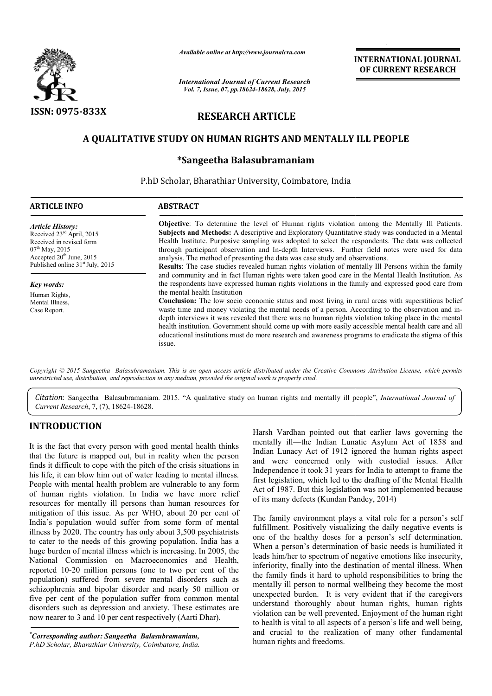

*Available online at http://www.journalcra.com*

# **RESEARCH ARTICLE**

## A QUALITATIVE STUDY ON HUMAN RIGHTS AND MENTALLY ILL PEOPLE

# **\*Sangeetha Balasubramaniam**

|                                                                                                                                                                                                                                                                                                                                                                                                                                                                                                                                                                                                                                                                                                                                                                                                                               | лтините опине интерестту, оптинениет<br><b>International Journal of Current Research</b><br>Vol. 7, Issue, 07, pp.18624-18628, July, 2015                                                                                                                                                                                                                                                                                                                                                                                                                                                                                                                                                                                                                                                                                                                                                                                                                                                                                                             |                                           | <b>INTERNATIONAL JOURNAL</b><br>OF CURRENT RESEARCH                                                                                                                                                                                                                                                                                                                                                                                                                                                                                                                                                                                                                                                                                                                                                                                                                          |
|-------------------------------------------------------------------------------------------------------------------------------------------------------------------------------------------------------------------------------------------------------------------------------------------------------------------------------------------------------------------------------------------------------------------------------------------------------------------------------------------------------------------------------------------------------------------------------------------------------------------------------------------------------------------------------------------------------------------------------------------------------------------------------------------------------------------------------|-------------------------------------------------------------------------------------------------------------------------------------------------------------------------------------------------------------------------------------------------------------------------------------------------------------------------------------------------------------------------------------------------------------------------------------------------------------------------------------------------------------------------------------------------------------------------------------------------------------------------------------------------------------------------------------------------------------------------------------------------------------------------------------------------------------------------------------------------------------------------------------------------------------------------------------------------------------------------------------------------------------------------------------------------------|-------------------------------------------|------------------------------------------------------------------------------------------------------------------------------------------------------------------------------------------------------------------------------------------------------------------------------------------------------------------------------------------------------------------------------------------------------------------------------------------------------------------------------------------------------------------------------------------------------------------------------------------------------------------------------------------------------------------------------------------------------------------------------------------------------------------------------------------------------------------------------------------------------------------------------|
| ISSN: 0975-833X                                                                                                                                                                                                                                                                                                                                                                                                                                                                                                                                                                                                                                                                                                                                                                                                               |                                                                                                                                                                                                                                                                                                                                                                                                                                                                                                                                                                                                                                                                                                                                                                                                                                                                                                                                                                                                                                                       | <b>RESEARCH ARTICLE</b>                   |                                                                                                                                                                                                                                                                                                                                                                                                                                                                                                                                                                                                                                                                                                                                                                                                                                                                              |
|                                                                                                                                                                                                                                                                                                                                                                                                                                                                                                                                                                                                                                                                                                                                                                                                                               | A QUALITATIVE STUDY ON HUMAN RIGHTS AND MENTALLY ILL PEOPLE                                                                                                                                                                                                                                                                                                                                                                                                                                                                                                                                                                                                                                                                                                                                                                                                                                                                                                                                                                                           |                                           |                                                                                                                                                                                                                                                                                                                                                                                                                                                                                                                                                                                                                                                                                                                                                                                                                                                                              |
|                                                                                                                                                                                                                                                                                                                                                                                                                                                                                                                                                                                                                                                                                                                                                                                                                               |                                                                                                                                                                                                                                                                                                                                                                                                                                                                                                                                                                                                                                                                                                                                                                                                                                                                                                                                                                                                                                                       | *Sangeetha Balasubramaniam                |                                                                                                                                                                                                                                                                                                                                                                                                                                                                                                                                                                                                                                                                                                                                                                                                                                                                              |
|                                                                                                                                                                                                                                                                                                                                                                                                                                                                                                                                                                                                                                                                                                                                                                                                                               | P.hD Scholar, Bharathiar University, Coimbatore, India                                                                                                                                                                                                                                                                                                                                                                                                                                                                                                                                                                                                                                                                                                                                                                                                                                                                                                                                                                                                |                                           |                                                                                                                                                                                                                                                                                                                                                                                                                                                                                                                                                                                                                                                                                                                                                                                                                                                                              |
| <b>ARTICLE INFO</b>                                                                                                                                                                                                                                                                                                                                                                                                                                                                                                                                                                                                                                                                                                                                                                                                           | <b>ABSTRACT</b>                                                                                                                                                                                                                                                                                                                                                                                                                                                                                                                                                                                                                                                                                                                                                                                                                                                                                                                                                                                                                                       |                                           |                                                                                                                                                                                                                                                                                                                                                                                                                                                                                                                                                                                                                                                                                                                                                                                                                                                                              |
| <b>Article History:</b><br>Received 23 <sup>rd</sup> April, 2015<br>Received in revised form<br>07 <sup>th</sup> May, 2015<br>Accepted 20 <sup>th</sup> June, 2015<br>Published online 31 <sup>st</sup> July, 2015<br><b>Key words:</b><br>Human Rights,<br>Mental Illness,<br>Case Report.                                                                                                                                                                                                                                                                                                                                                                                                                                                                                                                                   | Objective: To determine the level of Human rights violation among the Mentally Ill Patients.<br>Subjects and Methods: A descriptive and Exploratory Quantitative study was conducted in a Mental<br>Health Institute. Purposive sampling was adopted to select the respondents. The data was collected<br>through participant observation and In-depth Interviews. Further field notes were used for data<br>analysis. The method of presenting the data was case study and observations.<br>Results: The case studies revealed human rights violation of mentally III Persons within the family<br>and community and in fact Human rights were taken good care in the Mental Health Institution. As<br>the respondents have expressed human rights violations in the family and expressed good care from<br>the mental health Institution<br>Conclusion: The low socio economic status and most living in rural areas with superstitious belief<br>waste time and money violating the mental needs of a person. According to the observation and in- |                                           |                                                                                                                                                                                                                                                                                                                                                                                                                                                                                                                                                                                                                                                                                                                                                                                                                                                                              |
| Current Research, 7, (7), 18624-18628.                                                                                                                                                                                                                                                                                                                                                                                                                                                                                                                                                                                                                                                                                                                                                                                        | issue.<br>unrestricted use, distribution, and reproduction in any medium, provided the original work is properly cited.                                                                                                                                                                                                                                                                                                                                                                                                                                                                                                                                                                                                                                                                                                                                                                                                                                                                                                                               |                                           | educational institutions must do more research and awareness programs to eradicate the stigma of this<br>Copyright © 2015 Sangeetha Balasubramaniam. This is an open access article distributed under the Creative Commons Attribution License, which permits<br>Citation: Sangeetha Balasubramaniam. 2015. "A qualitative study on human rights and mentally ill people", International Journal of                                                                                                                                                                                                                                                                                                                                                                                                                                                                          |
| <b>INTRODUCTION</b>                                                                                                                                                                                                                                                                                                                                                                                                                                                                                                                                                                                                                                                                                                                                                                                                           |                                                                                                                                                                                                                                                                                                                                                                                                                                                                                                                                                                                                                                                                                                                                                                                                                                                                                                                                                                                                                                                       |                                           | Harsh Vardhan pointed out that earlier laws governing the                                                                                                                                                                                                                                                                                                                                                                                                                                                                                                                                                                                                                                                                                                                                                                                                                    |
| It is the fact that every person with good mental health thinks<br>that the future is mapped out, but in reality when the person<br>finds it difficult to cope with the pitch of the crisis situations in<br>his life, it can blow him out of water leading to mental illness.<br>People with mental health problem are vulnerable to any form<br>of human rights violation. In India we have more relief<br>resources for mentally ill persons than human resources for                                                                                                                                                                                                                                                                                                                                                      |                                                                                                                                                                                                                                                                                                                                                                                                                                                                                                                                                                                                                                                                                                                                                                                                                                                                                                                                                                                                                                                       | of its many defects (Kundan Pandey, 2014) | mentally ill—the Indian Lunatic Asylum Act of 1858 and<br>Indian Lunacy Act of 1912 ignored the human rights aspect<br>and were concerned only with custodial issues. After<br>Independence it took 31 years for India to attempt to frame the<br>first legislation, which led to the drafting of the Mental Health<br>Act of 1987. But this legislation was not implemented because                                                                                                                                                                                                                                                                                                                                                                                                                                                                                         |
| mitigation of this issue. As per WHO, about 20 per cent of<br>India's population would suffer from some form of mental<br>illness by 2020. The country has only about 3,500 psychiatrists<br>to cater to the needs of this growing population. India has a<br>huge burden of mental illness which is increasing. In 2005, the<br>National Commission on Macroeconomics and Health,<br>reported 10-20 million persons (one to two per cent of the<br>population) suffered from severe mental disorders such as<br>schizophrenia and bipolar disorder and nearly 50 million or<br>five per cent of the population suffer from common mental<br>disorders such as depression and anxiety. These estimates are<br>now nearer to 3 and 10 per cent respectively (Aarti Dhar).<br>*Corresponding author: Sangeatha, Ralasuhramaniam |                                                                                                                                                                                                                                                                                                                                                                                                                                                                                                                                                                                                                                                                                                                                                                                                                                                                                                                                                                                                                                                       |                                           | The family environment plays a vital role for a person's self<br>fulfillment. Positively visualizing the daily negative events is<br>one of the healthy doses for a person's self determination.<br>When a person's determination of basic needs is humiliated it<br>leads him/her to spectrum of negative emotions like insecurity,<br>inferiority, finally into the destination of mental illness. When<br>the family finds it hard to uphold responsibilities to bring the<br>mentally ill person to normal wellbeing they become the most<br>unexpected burden. It is very evident that if the caregivers<br>understand thoroughly about human rights, human rights<br>violation can be well prevented. Enjoyment of the human right<br>to health is vital to all aspects of a person's life and well being,<br>and crucial to the realization of many other fundamental |

# **INTRODUCTION**

*\* Corresponding author: Sangeetha Balasubramaniam Balasubramaniam,* P.hD Scholar, Bharathiar University, Coimbatore, India.

The family environment plays a vital role for a person's self fulfillment. Positively visualizing the daily negative events is one of the healthy doses for a person's self determination. When a person's determination of basic needs is humiliated it leads him/her to spectrum of negative emotions like insecurity, inferiority, finally into the destination of mental illness. When the family finds it hard to uphold responsibilities to bring the mentally ill person to normal wellbeing they become the most unexpected burden. It is very evident that if the caregivers understand thoroughly about human rights, human rights violation can be well prevented. Enjoyment of the human right to health is vital to all aspects of a person's life and well being, and crucial to the realization of many other fundamental human rights and freedoms.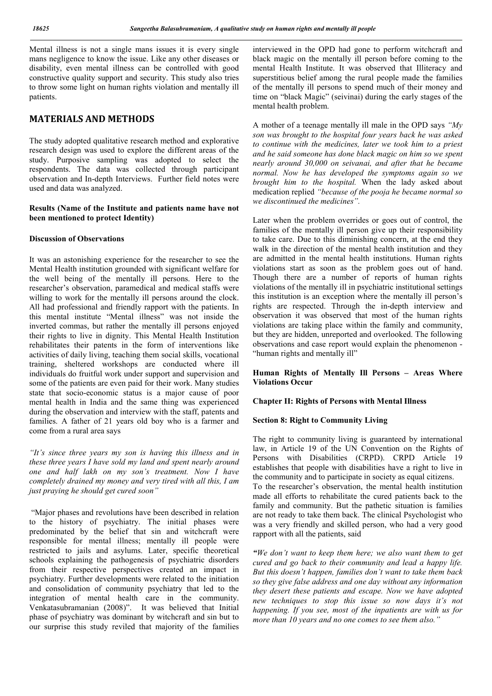Mental illness is not a single mans issues it is every single mans negligence to know the issue. Like any other diseases or disability, even mental illness can be controlled with good constructive quality support and security. This study also tries to throw some light on human rights violation and mentally ill patients.

## **MATERIALS AND METHODS**

The study adopted qualitative research method and explorative research design was used to explore the different areas of the study. Purposive sampling was adopted to select the respondents. The data was collected through participant observation and In-depth Interviews. Further field notes were used and data was analyzed.

#### **Results (Name of the Institute and patients name have not been mentioned to protect Identity)**

### **Discussion of Observations**

It was an astonishing experience for the researcher to see the Mental Health institution grounded with significant welfare for the well being of the mentally ill persons. Here to the researcher's observation, paramedical and medical staffs were willing to work for the mentally ill persons around the clock. All had professional and friendly rapport with the patients. In this mental institute "Mental illness" was not inside the inverted commas, but rather the mentally ill persons enjoyed their rights to live in dignity. This Mental Health Institution rehabilitates their patents in the form of interventions like activities of daily living, teaching them social skills, vocational training, sheltered workshops are conducted where ill individuals do fruitful work under support and supervision and some of the patients are even paid for their work. Many studies state that socio-economic status is a major cause of poor mental health in India and the same thing was experienced during the observation and interview with the staff, patents and families. A father of 21 years old boy who is a farmer and come from a rural area says

*"It's since three years my son is having this illness and in these three years I have sold my land and spent nearly around one and half lakh on my son's treatment. Now I have completely drained my money and very tired with all this, I am just praying he should get cured soon"*

"Major phases and revolutions have been described in relation to the history of psychiatry. The initial phases were predominated by the belief that sin and witchcraft were responsible for mental illness; mentally ill people were restricted to jails and asylums. Later, specific theoretical schools explaining the pathogenesis of psychiatric disorders from their respective perspectives created an impact in psychiatry. Further developments were related to the initiation and consolidation of community psychiatry that led to the integration of mental health care in the community. Venkatasubramanian (2008)". It was believed that Initial phase of psychiatry was dominant by witchcraft and sin but to our surprise this study reviled that majority of the families

interviewed in the OPD had gone to perform witchcraft and black magic on the mentally ill person before coming to the mental Health Institute. It was observed that Illiteracy and superstitious belief among the rural people made the families of the mentally ill persons to spend much of their money and time on "black Magic" (seivinai) during the early stages of the mental health problem.

A mother of a teenage mentally ill male in the OPD says *"My son was brought to the hospital four years back he was asked to continue with the medicines, later we took him to a priest and he said someone has done black magic on him so we spent nearly around 30,000 on seivanai, and after that he became normal. Now he has developed the symptoms again so we brought him to the hospital.* When the lady asked about medication replied *"because of the pooja he became normal so we discontinued the medicines".*

Later when the problem overrides or goes out of control, the families of the mentally ill person give up their responsibility to take care. Due to this diminishing concern, at the end they walk in the direction of the mental health institution and they are admitted in the mental health institutions. Human rights violations start as soon as the problem goes out of hand. Though there are a number of reports of human rights violations of the mentally ill in psychiatric institutional settings this institution is an exception where the mentally ill person's rights are respected. Through the in-depth interview and observation it was observed that most of the human rights violations are taking place within the family and community, but they are hidden, unreported and overlooked. The following observations and case report would explain the phenomenon - "human rights and mentally ill"

**Human Rights of Mentally Ill Persons – Areas Where Violations Occur** 

## **Chapter II: Rights of Persons with Mental Illness**

### **Section 8: Right to Community Living**

The right to community living is guaranteed by international law, in Article 19 of the UN Convention on the Rights of Persons with Disabilities (CRPD). CRPD Article 19 establishes that people with disabilities have a right to live in the community and to participate in society as equal citizens. To the researcher's observation, the mental health institution made all efforts to rehabilitate the cured patients back to the family and community. But the pathetic situation is families are not ready to take them back. The clinical Psychologist who was a very friendly and skilled person, who had a very good rapport with all the patients, said

*"We don't want to keep them here; we also want them to get cured and go back to their community and lead a happy life. But this doesn't happen, families don't want to take them back so they give false address and one day without any information they desert these patients and escape. Now we have adopted new techniques to stop this issue so now days it's not happening. If you see, most of the inpatients are with us for more than 10 years and no one comes to see them also."*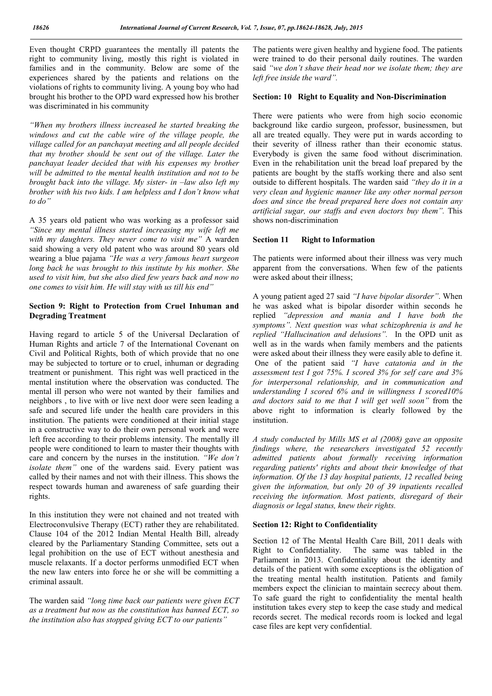Even thought CRPD guarantees the mentally ill patents the right to community living, mostly this right is violated in families and in the community. Below are some of the experiences shared by the patients and relations on the violations of rights to community living. A young boy who had brought his brother to the OPD ward expressed how his brother was discriminated in his community

*"When my brothers illness increased he started breaking the windows and cut the cable wire of the village people, the village called for an panchayat meeting and all people decided that my brother should be sent out of the village. Later the panchayat leader decided that with his expenses my brother will be admitted to the mental health institution and not to be brought back into the village. My sister- in –law also left my brother with his two kids. I am helpless and I don't know what to do"*

A 35 years old patient who was working as a professor said *"Since my mental illness started increasing my wife left me with my daughters. They never come to visit me"* A warden said showing a very old patent who was around 80 years old wearing a blue pajama *"He was a very famous heart surgeon long back he was brought to this institute by his mother. She used to visit him, but she also died few years back and now no one comes to visit him. He will stay with us till his end"* 

### **Section 9: Right to Protection from Cruel Inhuman and Degrading Treatment**

Having regard to article 5 of the Universal Declaration of Human Rights and article 7 of the International Covenant on Civil and Political Rights, both of which provide that no one may be subjected to torture or to cruel, inhuman or degrading treatment or punishment. This right was well practiced in the mental institution where the observation was conducted. The mental ill person who were not wanted by their families and neighbors , to live with or live next door were seen leading a safe and secured life under the health care providers in this institution. The patients were conditioned at their initial stage in a constructive way to do their own personal work and were left free according to their problems intensity. The mentally ill people were conditioned to learn to master their thoughts with care and concern by the nurses in the institution. *"We don't isolate them"* one of the wardens said. Every patient was called by their names and not with their illness. This shows the respect towards human and awareness of safe guarding their rights.

In this institution they were not chained and not treated with Electroconvulsive Therapy (ECT) rather they are rehabilitated. Clause 104 of the 2012 Indian Mental Health Bill, already cleared by the Parliamentary Standing Committee, sets out a legal prohibition on the use of ECT without anesthesia and muscle relaxants. If a doctor performs unmodified ECT when the new law enters into force he or she will be committing a criminal assault.

The warden said *"long time back our patients were given ECT as a treatment but now as the constitution has banned ECT, so the institution also has stopped giving ECT to our patients"*

The patients were given healthy and hygiene food. The patients were trained to do their personal daily routines. The warden said *"we don't shave their head nor we isolate them; they are left free inside the ward".*

## **Section: 10 Right to Equality and Non-Discrimination**

There were patients who were from high socio economic background like cardio surgeon, professor, businessmen, but all are treated equally. They were put in wards according to their severity of illness rather than their economic status. Everybody is given the same food without discrimination. Even in the rehabilitation unit the bread loaf prepared by the patients are bought by the staffs working there and also sent outside to different hospitals. The warden said *"they do it in a very clean and hygienic manner like any other normal person does and since the bread prepared here does not contain any artificial sugar, our staffs and even doctors buy them".* This shows non-discrimination

#### **Section 11 Right to Information**

The patients were informed about their illness was very much apparent from the conversations. When few of the patients were asked about their illness;

A young patient aged 27 said *"I have bipolar disorder"*. When he was asked what is bipolar disorder within seconds he replied *"depression and mania and I have both the symptoms". Next question was what schizophrenia is and he replied "Hallucination and delusions".* In the OPD unit as well as in the wards when family members and the patients were asked about their illness they were easily able to define it. One of the patient said *"I have catatonia and in the assessment test I got 75%. I scored 3% for self care and 3% for interpersonal relationship, and in communication and understanding I scored 6% and in willingness I scored10% and doctors said to me that I will get well soon"* from the above right to information is clearly followed by the institution.

*A study conducted by Mills MS et al (2008) gave an opposite findings where, the researchers investigated 52 recently admitted patients about formally receiving information regarding patients' rights and about their knowledge of that information. Of the 13 day hospital patients, 12 recalled being given the information, but only 20 of 39 inpatients recalled receiving the information. Most patients, disregard of their diagnosis or legal status, knew their rights.*

#### **Section 12: Right to Confidentiality**

Section 12 of The Mental Health Care Bill, 2011 deals with Right to Confidentiality. The same was tabled in the Parliament in 2013. Confidentiality about the identity and details of the patient with some exceptions is the obligation of the treating mental health institution. Patients and family members expect the clinician to maintain secrecy about them. To safe guard the right to confidentiality the mental health institution takes every step to keep the case study and medical records secret. The medical records room is locked and legal case files are kept very confidential.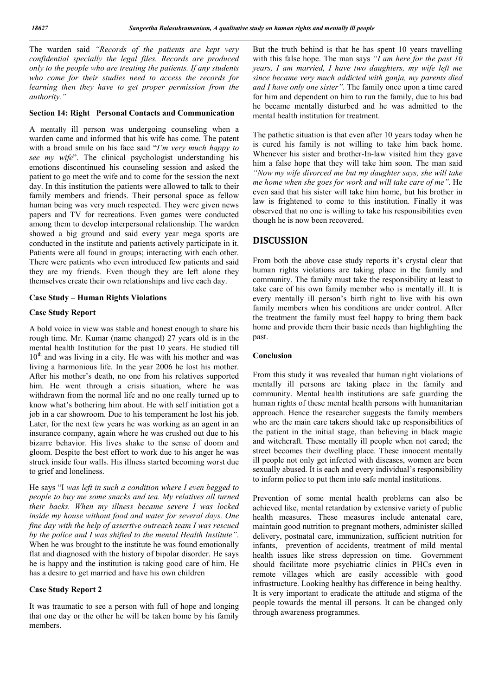The warden said *"Records of the patients are kept very confidential specially the legal files. Records are produced only to the people who are treating the patients. If any students who come for their studies need to access the records for learning then they have to get proper permission from the authority."* 

#### **Section 14: Right Personal Contacts and Communication**

A mentally ill person was undergoing counseling when a warden came and informed that his wife has come. The patent with a broad smile on his face said "*I'm very much happy to see my wife*". The clinical psychologist understanding his emotions discontinued his counseling session and asked the patient to go meet the wife and to come for the session the next day. In this institution the patients were allowed to talk to their family members and friends. Their personal space as fellow human being was very much respected. They were given news papers and TV for recreations. Even games were conducted among them to develop interpersonal relationship. The warden showed a big ground and said every year mega sports are conducted in the institute and patients actively participate in it. Patients were all found in groups; interacting with each other. There were patients who even introduced few patients and said they are my friends. Even though they are left alone they themselves create their own relationships and live each day.

#### **Case Study – Human Rights Violations**

#### **Case Study Report**

A bold voice in view was stable and honest enough to share his rough time. Mr. Kumar (name changed) 27 years old is in the mental health Institution for the past 10 years. He studied till  $10<sup>th</sup>$  and was living in a city. He was with his mother and was living a harmonious life. In the year 2006 he lost his mother. After his mother's death, no one from his relatives supported him. He went through a crisis situation, where he was withdrawn from the normal life and no one really turned up to know what's bothering him about. He with self initiation got a job in a car showroom. Due to his temperament he lost his job. Later, for the next few years he was working as an agent in an insurance company, again where he was crushed out due to his bizarre behavior. His lives shake to the sense of doom and gloom. Despite the best effort to work due to his anger he was struck inside four walls. His illness started becoming worst due to grief and loneliness.

He says "I *was left in such a condition where I even begged to people to buy me some snacks and tea. My relatives all turned their backs. When my illness became severe I was locked inside my house without food and water for several days. One fine day with the help of assertive outreach team I was rescued by the police and I was shifted to the mental Health Institute"*. When he was brought to the institute he was found emotionally flat and diagnosed with the history of bipolar disorder. He says he is happy and the institution is taking good care of him. He has a desire to get married and have his own children

#### **Case Study Report 2**

It was traumatic to see a person with full of hope and longing that one day or the other he will be taken home by his family members.

But the truth behind is that he has spent 10 years travelling with this false hope. The man says *"I am here for the past 10 years, I am married, I have two daughters, my wife left me since became very much addicted with ganja, my parents died and I have only one sister"*. The family once upon a time cared for him and dependent on him to run the family, due to his bad he became mentally disturbed and he was admitted to the mental health institution for treatment.

The pathetic situation is that even after 10 years today when he is cured his family is not willing to take him back home. Whenever his sister and brother-In-law visited him they gave him a false hope that they will take him soon. The man said *"Now my wife divorced me but my daughter says, she will take me home when she goes for work and will take care of me".* He even said that his sister will take him home, but his brother in law is frightened to come to this institution. Finally it was observed that no one is willing to take his responsibilities even though he is now been recovered.

## **DISCUSSION**

From both the above case study reports it's crystal clear that human rights violations are taking place in the family and community. The family must take the responsibility at least to take care of his own family member who is mentally ill. It is every mentally ill person's birth right to live with his own family members when his conditions are under control. After the treatment the family must feel happy to bring them back home and provide them their basic needs than highlighting the past.

#### **Conclusion**

From this study it was revealed that human right violations of mentally ill persons are taking place in the family and community. Mental health institutions are safe guarding the human rights of these mental health persons with humanitarian approach. Hence the researcher suggests the family members who are the main care takers should take up responsibilities of the patient in the initial stage, than believing in black magic and witchcraft. These mentally ill people when not cared; the street becomes their dwelling place. These innocent mentally ill people not only get infected with diseases, women are been sexually abused. It is each and every individual's responsibility to inform police to put them into safe mental institutions.

Prevention of some mental health problems can also be achieved like, mental retardation by extensive variety of public health measures. These measures include antenatal care, maintain good nutrition to pregnant mothers, administer skilled delivery, postnatal care, immunization, sufficient nutrition for infants, prevention of accidents, treatment of mild mental health issues like stress depression on time. Government should facilitate more psychiatric clinics in PHCs even in remote villages which are easily accessible with good infrastructure. Looking healthy has difference in being healthy. It is very important to eradicate the attitude and stigma of the people towards the mental ill persons. It can be changed only through awareness programmes.